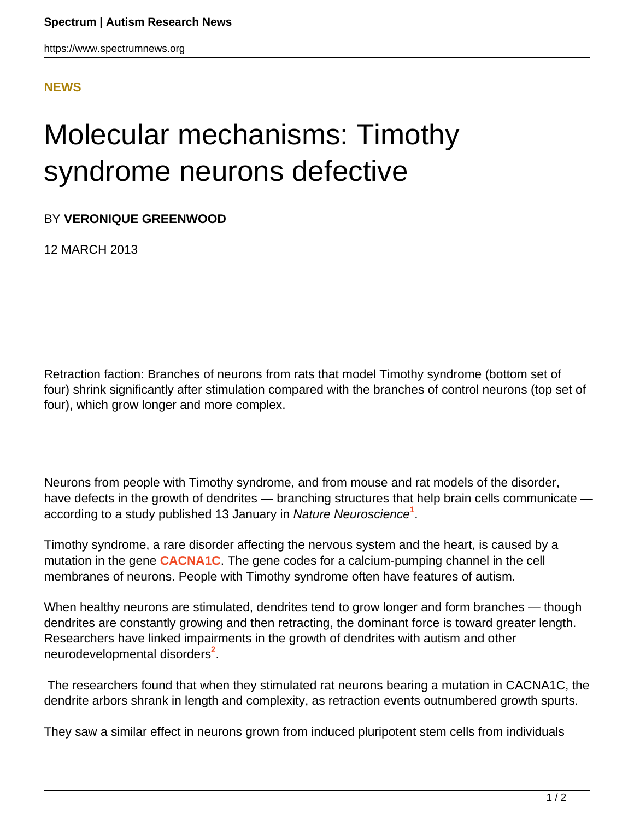<span id="page-0-0"></span>https://www.spectrumnews.org

## **[NEWS](HTTPS://WWW.SPECTRUMNEWS.ORG/NEWS/)**

## Molecular mechanisms: Timothy syndrome neurons defective

BY **VERONIQUE GREENWOOD**

12 MARCH 2013

Retraction faction: Branches of neurons from rats that model Timothy syndrome (bottom set of four) shrink significantly after stimulation compared with the branches of control neurons (top set of four), which grow longer and more complex.

Neurons from people with Timothy syndrome, and from mouse and rat models of the disorder, have defects in the growth of dendrites — branching structures that help brain cells communicate according to a study published 13 January in Nature Neuroscience**[1](#page-0-0)** .

Timothy syndrome, a rare disorder affecting the nervous system and the heart, is caused by a mutation in the gene **[CACNA1C](https://gene.sfari.org/GeneDetail/CACNA1C)**. The gene codes for a calcium-pumping channel in the cell membranes of neurons. People with Timothy syndrome often have features of autism.

When healthy neurons are stimulated, dendrites tend to grow longer and form branches — though dendrites are constantly growing and then retracting, the dominant force is toward greater length. Researchers have linked impairments in the growth of dendrites with autism and other neurodevelopmental disorders**[2](#page-1-0)** .

 The researchers found that when they stimulated rat neurons bearing a mutation in CACNA1C, the dendrite arbors shrank in length and complexity, as retraction events outnumbered growth spurts.

They saw a similar effect in neurons grown from induced pluripotent stem cells from individuals